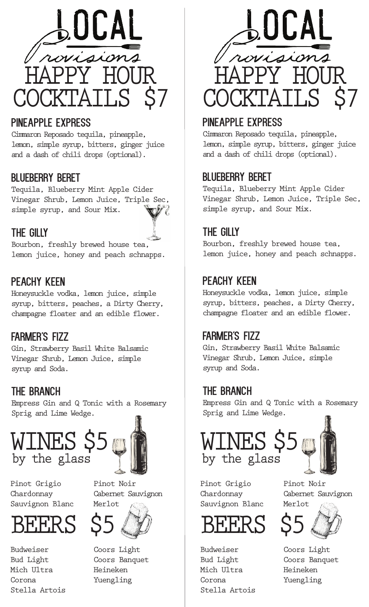

# PINEAPPLE EXPRESS

Cimmaron Reposado tequila, pineapple, lemon, simple syrup, bitters, ginger juice and a dash of chili drops (optional).

## blueberry beret

Tequila, Blueberry Mint Apple Cider Vinegar Shrub, Lemon Juice, Triple Sec, simple syrup, and Sour Mix.



Bourbon, freshly brewed house tea, lemon juice, honey and peach schnapps.

# PEACHY KEEN

Honeysuckle vodka, lemon juice, simple syrup, bitters, peaches, a Dirty Cherry, champagne floater and an edible flower.

## farmer's fizz

Gin, Strawberry Basil White Balsamic Vinegar Shrub, Lemon Juice, simple syrup and Soda.

## The Branch

Empress Gin and Q Tonic with a Rosemary Sprig and Lime Wedge.





Pinot Grigio Chardonnay Sauvignon Blanc



Budweiser Bud Light Mich Ultra Corona Stella Artois





Coors Light Coors Banquet Heineken Yuengling



# PINEAPPLE EXPRESS

Cimmaron Reposado tequila, pineapple, lemon, simple syrup, bitters, ginger juice and a dash of chili drops (optional).

## blueberry beret

Tequila, Blueberry Mint Apple Cider Vinegar Shrub, Lemon Juice, Triple Sec, simple syrup, and Sour Mix.

## THE GILLY

Bourbon, freshly brewed house tea, lemon juice, honey and peach schnapps.

## PEACHY KEEN

Honeysuckle vodka, lemon juice, simple syrup, bitters, peaches, a Dirty Cherry, champagne floater and an edible flower.

## farmer's fizz

Gin, Strawberry Basil White Balsamic Vinegar Shrub, Lemon Juice, simple syrup and Soda.

## The Branch

Empress Gin and Q Tonic with a Rosemary Sprig and Lime Wedge.





Pinot Grigio Chardonnay Sauvignon Blanc



Budweiser Bud Light Mich Ultra Corona Stella Artois

Pinot Noir Cabernet Sauvignon Merlot



Coors Light Coors Banquet Heineken Yuengling